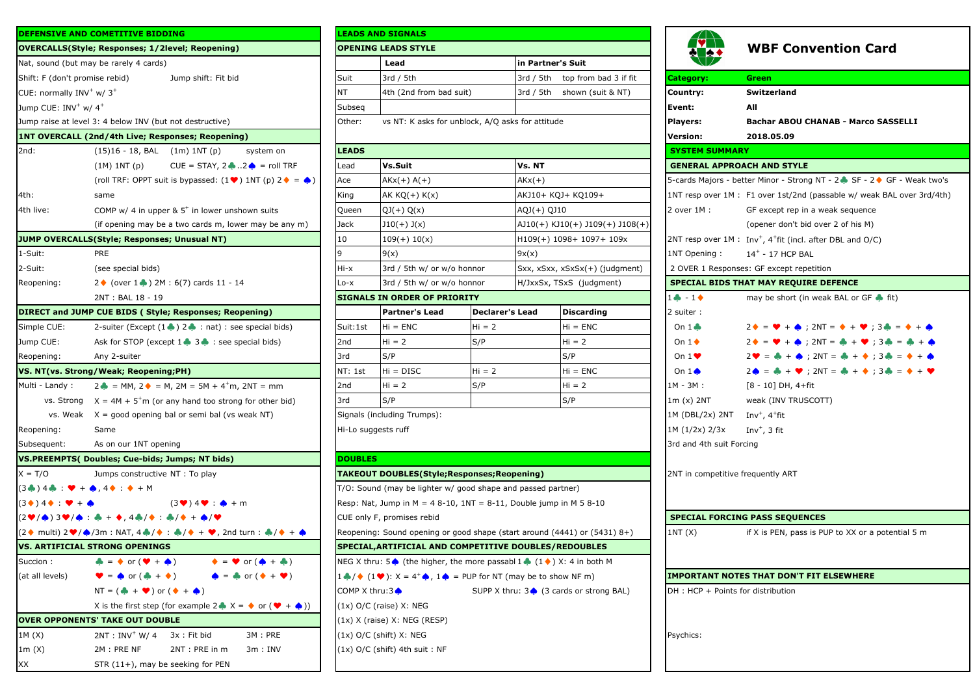|                                                                                          | <b>DEFENSIVE AND COMETITIVE BIDDING</b>                                                                                               |                            | <b>LEADS AND SIGNALS</b>                                                                                       |                        |                        |                                              |  |
|------------------------------------------------------------------------------------------|---------------------------------------------------------------------------------------------------------------------------------------|----------------------------|----------------------------------------------------------------------------------------------------------------|------------------------|------------------------|----------------------------------------------|--|
|                                                                                          | <b>OVERCALLS(Style; Responses; 1/2level; Reopening)</b>                                                                               |                            | <b>OPENING LEADS STYLE</b>                                                                                     |                        |                        |                                              |  |
|                                                                                          | Nat, sound (but may be rarely 4 cards)                                                                                                |                            | Lead                                                                                                           |                        | in Partner's Suit      |                                              |  |
| Shift: F (don't promise rebid)                                                           | Jump shift: Fit bid                                                                                                                   | Suit                       | 3rd / 5th                                                                                                      |                        | 3rd / 5th              | top from bad                                 |  |
| CUE: normally INV <sup>+</sup> w/ 3 <sup>+</sup>                                         |                                                                                                                                       | ΝT                         | 4th (2nd from bad suit)                                                                                        |                        | 3rd / 5th              | shown (suit &                                |  |
| Jump CUE: INV <sup>+</sup> w/ 4 <sup>+</sup>                                             |                                                                                                                                       | Subseq                     |                                                                                                                |                        |                        |                                              |  |
|                                                                                          | Jump raise at level 3: 4 below INV (but not destructive)                                                                              | Other:                     | vs NT: K asks for unblock, A/Q asks for attitude                                                               |                        |                        |                                              |  |
|                                                                                          | <b>1NT OVERCALL (2nd/4th Live; Responses; Reopening)</b>                                                                              |                            |                                                                                                                |                        |                        |                                              |  |
| 2nd:                                                                                     | $(15)16 - 18$ , BAL $(1m)$ 1NT $(p)$<br>system on                                                                                     | <b>LEADS</b>               |                                                                                                                |                        |                        |                                              |  |
|                                                                                          | $(1M)$ $1NT(p)$<br>$CUE = STAY, 2 \cdot 2 \cdot 2 \cdot 2 =$ roll TRF                                                                 | Lead                       | Vs.Suit                                                                                                        |                        | Vs. NT                 |                                              |  |
|                                                                                          | (roll TRF: OPPT suit is bypassed: $(1 \blacktriangleright)$ 1NT (p) 2 $\blacklozenge = \blacklozenge$ )                               | Ace                        | AKx(+) A(+)                                                                                                    |                        | $AKx(+)$               |                                              |  |
| 4th:                                                                                     | same                                                                                                                                  | King                       | AK $KQ(+) K(x)$                                                                                                |                        |                        | AKJ10+ KQJ+ KQ109+                           |  |
| 4th live:                                                                                | COMP w/ 4 in upper $& 5+$ in lower unshown suits                                                                                      | Queen                      | QJ(+) Q(x)                                                                                                     |                        | AQJ(+) QJ10            |                                              |  |
|                                                                                          | (if opening may be a two cards m, lower may be any m)                                                                                 | Jack                       | $J10(+)$ $J(x)$                                                                                                |                        |                        | $A$ J10(+) KJ10(+) J109(+                    |  |
|                                                                                          | JUMP OVERCALLS(Style; Responses; Unusual NT)                                                                                          | 10                         | $109(+) 10(x)$                                                                                                 |                        |                        | $H109(+) 1098+ 1097+ 1$                      |  |
| 1-Suit:                                                                                  | <b>PRE</b>                                                                                                                            | 9                          | 9(x)                                                                                                           |                        | 9x(x)                  |                                              |  |
| 2-Suit:                                                                                  | (see special bids)                                                                                                                    | Hi-x                       | 3rd / 5th w/ or w/o honnor                                                                                     |                        |                        | Sxx, xSxx, xSxSx(+) (ju                      |  |
| Reopening:                                                                               | $2 \lozenge$ (over 1 $\lozenge$ ) 2M : 6(7) cards 11 - 14                                                                             | $Lo-x$                     | 3rd / 5th w/ or w/o honnor                                                                                     |                        | H/JxxSx, TSxS (judgmer |                                              |  |
|                                                                                          | 2NT: BAL 18 - 19                                                                                                                      |                            | <b>SIGNALS IN ORDER OF PRIORITY</b>                                                                            |                        |                        |                                              |  |
|                                                                                          | <b>DIRECT and JUMP CUE BIDS (Style; Responses; Reopening)</b>                                                                         |                            | <b>Partner's Lead</b>                                                                                          | <b>Declarer's Lead</b> |                        | <b>Discarding</b>                            |  |
| Simple CUE:                                                                              | 2-suiter (Except $(1 \bullet ) 2 \bullet :$ nat) : see special bids)                                                                  | Suit:1st                   | $Hi = ENC$                                                                                                     | $Hi = 2$               |                        | $Hi = ENC$                                   |  |
| Jump CUE:                                                                                | Ask for STOP (except 1 3 3 + : see special bids)                                                                                      | 2 <sub>nd</sub>            | $Hi = 2$                                                                                                       | S/P                    |                        | $Hi = 2$                                     |  |
| Reopening:                                                                               | Any 2-suiter                                                                                                                          | 3rd                        | S/P                                                                                                            |                        |                        | S/P                                          |  |
|                                                                                          | VS. NT(vs. Strong/Weak; Reopening;PH)                                                                                                 | NT: 1st                    | $Hi = DISC$                                                                                                    | $Hi = 2$               |                        | $Hi = ENC$                                   |  |
| Multi - Landy:                                                                           | $2 \bullet = MM$ , $2 \bullet = M$ , $2M = 5M + 4^{+}m$ , $2NT = mm$                                                                  | 2nd                        | $Hi = 2$                                                                                                       | S/P                    |                        | $Hi = 2$                                     |  |
|                                                                                          | vs. Strong $X = 4M + 5+m$ (or any hand too strong for other bid)                                                                      | 3rd                        | S/P                                                                                                            |                        |                        | S/P                                          |  |
|                                                                                          | vs. Weak $X =$ good opening bal or semi bal (vs weak NT)                                                                              |                            | Signals (including Trumps):                                                                                    |                        |                        |                                              |  |
| Reopening:                                                                               | Same                                                                                                                                  |                            | Hi-Lo suggests ruff                                                                                            |                        |                        |                                              |  |
| Subsequent:                                                                              | As on our 1NT opening                                                                                                                 |                            |                                                                                                                |                        |                        |                                              |  |
|                                                                                          | VS.PREEMPTS( Doubles; Cue-bids; Jumps; NT bids)                                                                                       | <b>DOUBLES</b>             |                                                                                                                |                        |                        |                                              |  |
| $X = T/O$                                                                                | Jumps constructive NT : To play                                                                                                       |                            | <b>TAKEOUT DOUBLES(Style;Responses;Reopening)</b>                                                              |                        |                        |                                              |  |
| $(3\clubsuit)$ 4. $\clubsuit$ : $\Psi + \spadesuit$ , 4. $\spadesuit$ : $\spadesuit$ + M |                                                                                                                                       |                            | T/O: Sound (may be lighter w/ good shape and passed partner)                                                   |                        |                        |                                              |  |
| $(3\bullet)$ 4 $\bullet$ : $\bullet$ + $\bullet$                                         | $(3 \bullet) 4 \bullet \bullet + m$                                                                                                   |                            | Resp: Nat, Jump in $M = 48-10$ , $1NT = 8-11$ , Double jump in M 5 8-10                                        |                        |                        |                                              |  |
|                                                                                          | $(2\Psi/\spadesuit)$ 3♥/◆ : ♣ + ◆, 4♣/◆ : ♣/◆ + ♠/♥                                                                                   | CUE only F, promises rebid |                                                                                                                |                        |                        |                                              |  |
|                                                                                          | $(2\diamondsuit$ multi) 2♥/◆/3m : NAT, 4♣/◆ : ♣/◆ + ♥, 2nd turn : ♣/◆ + ◆                                                             |                            | Reopening: Sound opening or good shape (start around (4441) or (5431                                           |                        |                        |                                              |  |
|                                                                                          | <b>VS. ARTIFICIAL STRONG OPENINGS</b>                                                                                                 |                            | SPECIAL, ARTIFICIAL AND COMPETITIVE DOUBLES/REDOUBLES                                                          |                        |                        |                                              |  |
| Succion:                                                                                 | $\clubsuit = \spadesuit$ or $(\clubsuit + \spadesuit)$<br>$\blacktriangledown$ or $(\spadesuit + \clubsuit)$                          |                            | NEG X thru: 5 (the higher, the more passabl $1 \bullet (1 \bullet)$ X: 4 in both M                             |                        |                        |                                              |  |
| (at all levels)                                                                          | $\blacktriangledown = \spadesuit$ or $(\clubsuit + \spadesuit)$<br>$\clubsuit$ = $\clubsuit$ or ( $\lozenge$ + $\blacktriangledown$ ) |                            | $1 \cdot 1 \cdot 1 \cdot 2$ (1 $\cdot$ ): $X = 4^+ \cdot 1 \cdot 1 \cdot 2 =$ PUP for NT (may be to show NF m) |                        |                        |                                              |  |
|                                                                                          | $NT = (\clubsuit + \heartsuit)$ or $(\spadesuit + \spadesuit)$                                                                        | COMP X thru: $3\spadesuit$ |                                                                                                                |                        |                        | SUPP X thru: $3 \bigcirc$ (3 cards or strong |  |
|                                                                                          | X is the first step (for example $2 \bullet X = \bullet$ or $(\bullet + \bullet)$ )                                                   |                            | $(1x)$ O/C (raise) X: NEG                                                                                      |                        |                        |                                              |  |
|                                                                                          | <b>OVER OPPONENTS' TAKE OUT DOUBLE</b>                                                                                                |                            | $(1x)$ X (raise) X: NEG (RESP)                                                                                 |                        |                        |                                              |  |
| 1M (X)                                                                                   | 3x: Fit bid<br>3M: PRE<br>$2NT : INV^+ W/ 4$                                                                                          |                            | $(1x)$ O/C (shift) X: NEG                                                                                      |                        |                        |                                              |  |
| 1m(X)                                                                                    | 2M: PRE NF<br>2NT: PRE in m<br>3m : INV                                                                                               |                            | $(1x)$ O/C (shift) 4th suit: NF                                                                                |                        |                        |                                              |  |
| ХX                                                                                       | STR (11+), may be seeking for PEN                                                                                                     |                            |                                                                                                                |                        |                        |                                              |  |

|                                                                           | <b>DEFENSIVE AND COMETITIVE BIDDING</b>                                                                                                 |                                                                                                                           | <b>LEADS AND SIGNALS</b>                                                  |          |                                    |                                                           |                                                   |                                                                                                                              |
|---------------------------------------------------------------------------|-----------------------------------------------------------------------------------------------------------------------------------------|---------------------------------------------------------------------------------------------------------------------------|---------------------------------------------------------------------------|----------|------------------------------------|-----------------------------------------------------------|---------------------------------------------------|------------------------------------------------------------------------------------------------------------------------------|
|                                                                           | <b>OVERCALLS(Style; Responses; 1/2level; Reopening)</b>                                                                                 |                                                                                                                           | <b>OPENING LEADS STYLE</b>                                                |          |                                    |                                                           | <b>VI</b>                                         | <b>WBF Convention Card</b>                                                                                                   |
|                                                                           | Nat, sound (but may be rarely 4 cards)                                                                                                  |                                                                                                                           | Lead                                                                      |          | in Partner's Suit                  |                                                           |                                                   |                                                                                                                              |
| Shift: F (don't promise rebid)<br>Jump shift: Fit bid                     |                                                                                                                                         |                                                                                                                           | 3rd / 5th                                                                 |          | 3rd / 5th                          | top from bad 3 if fit                                     | <b>Category:</b>                                  | <b>Green</b>                                                                                                                 |
| CUE: normally $INV^+ w / 3^+$                                             |                                                                                                                                         |                                                                                                                           | 4th (2nd from bad suit)                                                   |          |                                    | 3rd / 5th shown (suit & NT)                               | Country:                                          | Switzerland                                                                                                                  |
| Jump CUE: INV <sup>+</sup> w/ 4 <sup>+</sup>                              |                                                                                                                                         |                                                                                                                           |                                                                           |          |                                    |                                                           | Event:                                            | All                                                                                                                          |
|                                                                           | Jump raise at level 3: 4 below INV (but not destructive)                                                                                | Other:                                                                                                                    | vs NT: K asks for unblock, A/Q asks for attitude                          |          | Players:                           | Bachar ABOU CHANAB - Marco SASSELLI                       |                                                   |                                                                                                                              |
|                                                                           | 1NT OVERCALL (2nd/4th Live; Responses; Reopening)                                                                                       |                                                                                                                           |                                                                           |          |                                    |                                                           | <b>Version:</b>                                   | 2018.05.09                                                                                                                   |
| 2nd:                                                                      | $(15)16 - 18$ , BAL $(1m) 1NT (p)$<br>system on                                                                                         | <b>LEADS</b>                                                                                                              |                                                                           |          |                                    |                                                           | <b>SYSTEM SUMMARY</b>                             |                                                                                                                              |
|                                                                           | $CUE = STAY, 2 \cdot 2 \cdot 2 \cdot 2 =$ roll TRF<br>$(1M)$ $1NT(p)$                                                                   | Lead                                                                                                                      | Vs.Suit                                                                   |          | Vs. NT                             |                                                           |                                                   | <b>GENERAL APPROACH AND STYLE</b>                                                                                            |
|                                                                           | (roll TRF: OPPT suit is bypassed: $(1 \blacktriangleright)$ 1NT (p) $2 \blacklozenge = \blacklozenge$ )                                 | Ace                                                                                                                       | AKx(+) A(+)                                                               |          | $AKx(+)$                           |                                                           |                                                   | 5-cards Majors - better Minor - Strong NT - 2 → SF - 2 → GF - Weak two's                                                     |
| 4th:                                                                      | same                                                                                                                                    | King                                                                                                                      | AK KQ(+) K(x)                                                             |          | AKJ10+ KQJ+ KQ109+                 |                                                           |                                                   | 1NT resp over 1M: F1 over 1st/2nd (passable w/ weak BAL over 3rd/4th)                                                        |
| 4th live:                                                                 | COMP w/ 4 in upper $\& 5^+$ in lower unshown suits                                                                                      | Queen                                                                                                                     | $QJ(+) Q(x)$                                                              |          | AQJ(+) QJ10                        |                                                           | 2 over 1M :                                       | GF except rep in a weak sequence                                                                                             |
|                                                                           | (if opening may be a two cards m, lower may be any m)                                                                                   | Jack                                                                                                                      | $J10(+)$ $J(x)$                                                           |          | $A$ J10(+) KJ10(+) J109(+) J108(+) |                                                           |                                                   | (opener don't bid over 2 of his M)                                                                                           |
|                                                                           | JUMP OVERCALLS(Style; Responses; Unusual NT)                                                                                            | 10                                                                                                                        | $109(+) 10(x)$                                                            |          |                                    | H109(+) 1098+ 1097+ 109x                                  |                                                   | 2NT resp over $1M : Inv^+, 4^+$ fit (incl. after DBL and O/C)                                                                |
| 1-Suit:                                                                   | <b>PRE</b>                                                                                                                              |                                                                                                                           | 9(x)                                                                      |          | 9x(x)                              |                                                           | 1NT Opening:                                      | $14+$ - 17 HCP BAL                                                                                                           |
| 2-Suit:                                                                   | (see special bids)                                                                                                                      | Hi-x                                                                                                                      | 3rd / 5th w/ or w/o honnor                                                |          |                                    | Sxx, xSxx, xSxSx(+) (judgment)                            |                                                   | 2 OVER 1 Responses: GF except repetition                                                                                     |
| Reopening:                                                                | $2 \leftarrow$ (over 1 → ) 2M : 6(7) cards 11 - 14                                                                                      | Lo-x                                                                                                                      | 3rd / 5th w/ or w/o honnor                                                |          | H/JxxSx, TSxS (judgment)           |                                                           |                                                   | SPECIAL BIDS THAT MAY REQUIRE DEFENCE                                                                                        |
|                                                                           | 2NT: BAL 18 - 19                                                                                                                        |                                                                                                                           | <b>SIGNALS IN ORDER OF PRIORITY</b>                                       |          |                                    |                                                           | $1 - 1$                                           | may be short (in weak BAL or GF $\bullet$ fit)                                                                               |
|                                                                           | DIRECT and JUMP CUE BIDS (Style; Responses; Reopening)                                                                                  |                                                                                                                           | <b>Partner's Lead</b>                                                     |          | <b>Declarer's Lead</b>             | <b>Discarding</b>                                         | 2 suiter :                                        |                                                                                                                              |
| Simple CUE:                                                               | 2-suiter (Except $(1 \bullet ) 2 \bullet :$ nat) : see special bids)                                                                    | Suit:1st                                                                                                                  | $Hi = ENC$                                                                | $Hi = 2$ |                                    | $Hi = ENC$                                                | On $1\clubsuit$                                   | $2\bullet = \bullet + \bullet : 2NT = \bullet + \bullet : 3\clubsuit = \bullet + \bullet$                                    |
| Jump CUE:                                                                 | Ask for STOP (except $1 \rightarrow 3 \rightarrow$ : see special bids)                                                                  | 2nd                                                                                                                       | $Hi = 2$                                                                  | S/P      |                                    | $Hi = 2$                                                  | On $1\blacklozenge$                               | $2\blacklozenge = \blacklozenge + \blacklozenge$ ; $2NT = \clubsuit + \blacklozenge$ ; $3\clubsuit = \clubsuit + \spadesuit$ |
| Reopening:                                                                | Any 2-suiter                                                                                                                            | 3rd                                                                                                                       | S/P                                                                       |          |                                    | S/P                                                       | On $1$ $\blacktriangleright$                      | $2\Psi = \clubsuit + \spadesuit$ ; $2NT = \clubsuit + \spadesuit$ ; $3\clubsuit = \spadesuit + \spadesuit$                   |
| VS. NT(vs. Strong/Weak; Reopening;PH)                                     |                                                                                                                                         | NT: 1st                                                                                                                   | $Hi = DISC$                                                               | $Hi = 2$ |                                    | $Hi = ENC$                                                | On $1\spadesuit$                                  | $2\spadesuit = \clubsuit + \clubsuit$ ; 2NT = $\clubsuit + \spadesuit$ ; 3 $\clubsuit = \spadesuit + \clubsuit$              |
| Multi - Landy:                                                            | $2 \bullet = MM$ , $2 \bullet = M$ , $2M = 5M + 4^{+}m$ , $2NT = mm$                                                                    | 2nd                                                                                                                       | $Hi = 2$                                                                  | S/P      |                                    | $Hi = 2$                                                  | 1M - 3M :                                         | [8 - 10] DH, 4+fit                                                                                                           |
|                                                                           | vs. Strong $X = 4M + 5+m$ (or any hand too strong for other bid)                                                                        | 3rd                                                                                                                       | S/P                                                                       |          |                                    | S/P                                                       | $1m(x)$ 2NT                                       | weak (INV TRUSCOTT)                                                                                                          |
|                                                                           | vs. Weak $X = \text{good opening bal or semi bal (vs weak NT)}$                                                                         |                                                                                                                           | Signals (including Trumps):                                               |          |                                    | 1M (DBL/2x) 2NT $Inv^{+}$ , 4 <sup>+</sup> fit            |                                                   |                                                                                                                              |
| Reopening:                                                                | Same                                                                                                                                    |                                                                                                                           | Hi-Lo suggests ruff                                                       |          |                                    |                                                           | 1M (1/2x) 2/3x                                    | Inv <sup>+</sup> , 3 fit                                                                                                     |
| Subsequent:                                                               | As on our 1NT opening                                                                                                                   |                                                                                                                           |                                                                           |          | 3rd and 4th suit Forcing           |                                                           |                                                   |                                                                                                                              |
|                                                                           | VS.PREEMPTS( Doubles; Cue-bids; Jumps; NT bids)                                                                                         | <b>DOUBLES</b>                                                                                                            |                                                                           |          |                                    |                                                           |                                                   |                                                                                                                              |
| $X = T/O$                                                                 | Jumps constructive NT : To play                                                                                                         |                                                                                                                           | TAKEOUT DOUBLES(Style;Responses;Reopening)                                |          |                                    |                                                           | 2NT in competitive frequently ART                 |                                                                                                                              |
|                                                                           | $(3\clubsuit)$ 4 $\clubsuit$ : $\blacktriangledown + \spadesuit$ , 4 $\blacklozenge$ : $\blacklozenge + M$                              |                                                                                                                           | T/O: Sound (may be lighter w/ good shape and passed partner)              |          |                                    |                                                           |                                                   |                                                                                                                              |
| $(3\bullet)$ 4 $\bullet$ : $\bullet$ + $\bullet$                          | $(3 \bullet) 4 \bullet \bullet + m$                                                                                                     |                                                                                                                           | Resp: Nat, Jump in M = 4 8-10, 1NT = 8-11, Double jump in M 5 8-10        |          |                                    |                                                           |                                                   |                                                                                                                              |
|                                                                           | (2❤/♠)3❤/♠ : ♣ + ♦,4♣/♦ : ♣/♦ + ♠/❤                                                                                                     |                                                                                                                           | CUE only F, promises rebid                                                |          |                                    |                                                           |                                                   | <b>SPECIAL FORCING PASS SEQUENCES</b>                                                                                        |
| $(2\diamondsuit$ multi) 2♥/◆/3m : NAT, 4♣/◆ : ♣/◆ + ♥, 2nd turn : ♣/◆ + ♠ |                                                                                                                                         |                                                                                                                           | Reopening: Sound opening or good shape (start around (4441) or (5431) 8+) |          |                                    | INT(X)                                                    | if X is PEN, pass is PUP to XX or a potential 5 m |                                                                                                                              |
|                                                                           | VS. ARTIFICIAL STRONG OPENINGS                                                                                                          |                                                                                                                           | SPECIAL, ARTIFICIAL AND COMPETITIVE DOUBLES / REDOUBLES                   |          |                                    |                                                           |                                                   |                                                                                                                              |
| Succion :                                                                 | $\clubsuit = \spadesuit$ or $(\clubsuit + \spadesuit)$<br>$\blacklozenge = \blacklozenge$ or $(\spadesuit + \clubsuit)$                 |                                                                                                                           | NEG X thru: 5 (the higher, the more passabl 1 (1) X: 4 in both M          |          |                                    |                                                           |                                                   |                                                                                                                              |
| (at all levels)                                                           | $\mathbf{V} = \mathbf{\Phi}$ or $(\mathbf{\Phi} + \mathbf{\Phi})$<br>$\clubsuit$ = $\clubsuit$ or ( $\lozenge$ + $\blacktriangledown$ ) | $1 \clubsuit / \diamond (1 \triangledown)$ : $X = 4^+ \diamondsuit$ , $1 \diamondsuit =$ PUP for NT (may be to show NF m) |                                                                           |          |                                    |                                                           | <b>IMPORTANT NOTES THAT DON'T FIT ELSEWHERE</b>   |                                                                                                                              |
|                                                                           | $NT = (\clubsuit + \clubsuit)$ or $(\spadesuit + \spadesuit)$                                                                           | COMP X thru:3 $\spadesuit$                                                                                                |                                                                           |          |                                    | SUPP X thru: $3 \bigodot (3 \text{ cards or strong BAL})$ | DH : HCP + Points for distribution                |                                                                                                                              |
|                                                                           | X is the first step (for example $2 \bullet X = \bullet$ or $(\bullet + \bullet)$ )                                                     |                                                                                                                           | (1x) O/C (raise) X: NEG                                                   |          |                                    |                                                           |                                                   |                                                                                                                              |
|                                                                           | <b>OVER OPPONENTS' TAKE OUT DOUBLE</b>                                                                                                  |                                                                                                                           | (1x) X (raise) X: NEG (RESP)                                              |          |                                    |                                                           |                                                   |                                                                                                                              |
| 1M (X)                                                                    | 3M: PRE<br>$2NT : INV^+ W / 4$ 3x : Fit bid                                                                                             |                                                                                                                           | (1x) O/C (shift) X: NEG                                                   |          |                                    |                                                           | Psychics:                                         |                                                                                                                              |
| 1m (X)                                                                    | 2M : PRE NF<br>2NT: PRE in m<br>3m : INV                                                                                                |                                                                                                                           | (1x) O/C (shift) 4th suit : NF                                            |          |                                    |                                                           |                                                   |                                                                                                                              |
| XX                                                                        | $STR(11+)$ , may be seeking for PEN                                                                                                     |                                                                                                                           |                                                                           |          |                                    |                                                           |                                                   |                                                                                                                              |



| <b>WBF Convention Card</b> |  |
|----------------------------|--|
|----------------------------|--|

| Category:                                                 | Green                                                                                                                                          |  |  |  |  |
|-----------------------------------------------------------|------------------------------------------------------------------------------------------------------------------------------------------------|--|--|--|--|
| Country:                                                  | Switzerland                                                                                                                                    |  |  |  |  |
| Event:                                                    | All                                                                                                                                            |  |  |  |  |
| <b>Players:</b>                                           | Bachar ABOU CHANAB - Marco SASSELLI                                                                                                            |  |  |  |  |
| Version:                                                  | 2018.05.09                                                                                                                                     |  |  |  |  |
| <b>SYSTEM SUMMARY</b>                                     |                                                                                                                                                |  |  |  |  |
| <b>GENERAL APPROACH AND STYLE</b>                         |                                                                                                                                                |  |  |  |  |
|                                                           | 5-cards Majors - better Minor - Strong NT - 2 → SF - 2 → GF - Weak two's                                                                       |  |  |  |  |
|                                                           | 1NT resp over 1M : F1 over 1st/2nd (passable w/ weak BAL over 3rd/4th)                                                                         |  |  |  |  |
| 2 over 1M :                                               | GF except rep in a weak sequence                                                                                                               |  |  |  |  |
|                                                           | (opener don't bid over 2 of his M)                                                                                                             |  |  |  |  |
|                                                           | $2NT$ resp over $1M : Inv^+, 4^+$ fit (incl. after DBL and O/C)                                                                                |  |  |  |  |
| 1NT Opening:                                              | 14 <sup>+</sup> - 17 HCP BAL                                                                                                                   |  |  |  |  |
|                                                           | 2 OVER 1 Responses: GF except repetition                                                                                                       |  |  |  |  |
|                                                           | SPECIAL BIDS THAT MAY REQUIRE DEFENCE                                                                                                          |  |  |  |  |
| $1 - 1$                                                   | may be short (in weak BAL or GF $\bullet$ fit)                                                                                                 |  |  |  |  |
| 2 suiter:                                                 |                                                                                                                                                |  |  |  |  |
| On $1\clubsuit$                                           | $2\blacklozenge = \blacklozenge + \blacklozenge$ ; 2NT = $\blacklozenge + \blacktriangledown$ ; 3 $\clubsuit = \blacklozenge + \blacktriangle$ |  |  |  |  |
| On $1 \triangleleft$                                      | $2 \cdot = \cdot + \cdot + \cdot$ ; $2NT = \cdot + \cdot + \cdot$ ; $3 \cdot \cdot = \cdot + \cdot$                                            |  |  |  |  |
| On $1$ $\blacktriangledown$                               | $2\Psi = \clubsuit + \spadesuit$ ; $2NT = \clubsuit + \spadesuit$ ; $3\clubsuit = \spadesuit + \spadesuit$                                     |  |  |  |  |
| On $1\spadesuit$                                          | $2\spadesuit = \clubsuit + \clubsuit$ ; 2NT = $\clubsuit + \spadesuit$ ; 3 $\clubsuit = \spadesuit + \spadesuit$                               |  |  |  |  |
| 1M - 3M :                                                 | [8 - 10] DH, 4+fit                                                                                                                             |  |  |  |  |
| 1m (x) 2NT                                                | weak (INV TRUSCOTT)                                                                                                                            |  |  |  |  |
| 1M (DBL/2x) $2NT$ Inv <sup>+</sup> , $4$ <sup>+</sup> fit |                                                                                                                                                |  |  |  |  |
| 1M $(1/2x)$ 2/3x Inv <sup>+</sup> , 3 fit                 |                                                                                                                                                |  |  |  |  |
| 3rd and 4th suit Forcing                                  |                                                                                                                                                |  |  |  |  |
|                                                           |                                                                                                                                                |  |  |  |  |
| 2NT in competitive frequently ART                         |                                                                                                                                                |  |  |  |  |
|                                                           |                                                                                                                                                |  |  |  |  |
|                                                           |                                                                                                                                                |  |  |  |  |
|                                                           | <b>SPECIAL FORCING PASS SEQUENCES</b>                                                                                                          |  |  |  |  |
| 1NT (X)                                                   | if X is PEN, pass is PUP to XX or a potential 5 m                                                                                              |  |  |  |  |
|                                                           |                                                                                                                                                |  |  |  |  |
|                                                           |                                                                                                                                                |  |  |  |  |
| <b>IMPORTANT NOTES THAT DON'T FIT ELSEWHERE</b>           |                                                                                                                                                |  |  |  |  |
| DH: HCP + Points for distribution                         |                                                                                                                                                |  |  |  |  |
|                                                           |                                                                                                                                                |  |  |  |  |
|                                                           |                                                                                                                                                |  |  |  |  |
| Psychics:                                                 |                                                                                                                                                |  |  |  |  |
|                                                           |                                                                                                                                                |  |  |  |  |
|                                                           |                                                                                                                                                |  |  |  |  |